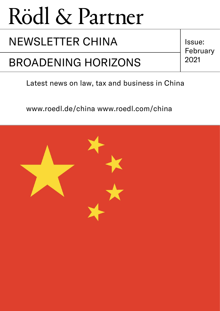## NEWSLETTER CHINA | Issue:

## BROADENING HORIZONS 2021

February

### Latest news on law, tax and business in China

www.roedl.de/china www.roedl.com/china

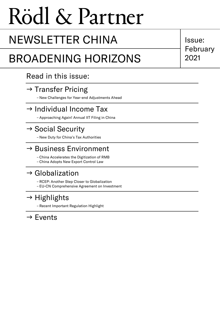## NEWSLETTER CHINA | Issue:

## BROADENING HORIZONS | 2021

Read in this issue:

### $\rightarrow$  [Transfer Pricing](#page-2-0)

– [New Challenges for Year-end Adjustments Ahead](#page-2-1)

### $\rightarrow$  [Individual Income Tax](#page-3-0)

– [Approaching Again! Annual IIT Filing in China](#page-3-1)

### $\rightarrow$  [Social Security](#page-4-0)

– [New Duty for China's Tax Authorities](#page-4-1)

### $\rightarrow$  [Business Environment](#page-5-0)

- [China Accelerates the Digitization of RMB](#page-5-1)
- [China Adopts New Export Control Law](#page-6-0)

### $\rightarrow$  [Globalization](#page-7-0)

– [RCEP: Another Step Closer to Globalization](#page-7-1)

– [EU-CN Comprehensive Agreement on Investment](#page-8-0)

## $\rightarrow$  [Highlights](#page-10-0)

– [Recent Important Regulation Highlight](#page-10-1)

### $\rightarrow$  Fyents

February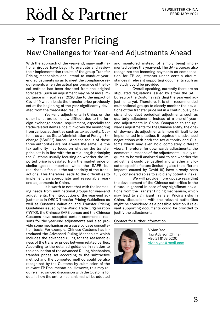## <span id="page-2-0"></span> $\rightarrow$  Transfer Pricing

### <span id="page-2-1"></span>New Challenges for Year-end Adjustments Ahead

With the approach of the year-end, many multinational groups have begun to evaluate and review their implementation results of the group Transfer Pricing mechanism and intend to conduct yearend adjustments so as to meet the compliance requirements when the actual performance of the local entities has been deviated from the original forecasts. Such an adjustment may be of more importance in Fiscal Year 2020 due to the impact of Covid-19 which leads the transfer price previously set at the beginning of the year significantly deviated from the forecasted result.

Year-end adjustments in China, on the other hand, are somehow difficult due to the foreign exchange control requirement, especially for trade-related items since it involves the monitoring from various authorities such as tax authority, Customs as well as State Administration of Foreign Exchange ("SAFE") bureau. And the focus of these three authorities are not always the same, i.e. the tax authority may focus on whether the transfer price set is in line with the arm's-length principle; the Customs usually focusing on whether the imported price is deviated from the market price of similar goods imported while the SAFE bureau/bank's focus is the authenticity of the transactions. This therefore leads to the difficulties to implement an appropriate and reasonable yearend adjustments in China.

It is worth to note that with the increasing needs from multinational groups for year-end adjustments, the introduction of the year-end adjustments in OECD Transfer Pricing Guidelines as well as Customs Valuation and Transfer Pricing Guidelines issued by the World Trade Organization ("WTO), the Chinese SAFE bureau and the Chinese Customs have accepted certain commercial reasons for the year-end adjustments and also provide some mechanism on a case by case consultation basis. For example, Chinese Customs has introduced the Advanced Ruling Mechanism which includes the advanced ruling for the reasonableness of the transfer prices between related parties. According to the detailed guidance in relation to the application of the advanced Ruling Mechanism, transfer prices set according to the subtractive method and the computed method could be also recognized by the Customs by submission of the relevant TP Documentation. However, this may require an advanced discussion with the Customs for details how the entire mechanism shall be adopted

and monitored instead of simply being implemented before the year-end. The SAFE bureau also recognizes the incoming payments as compensation for TP adjustments under certain circumstances if relevant supporting documents such as TP study could be provided.

Overall speaking, currently there are no stipulated regulations issued by either the SAFE bureau or the Customs regarding the year-end adjustments yet. Therefore, it is still recommended multinational groups to closely monitor the deviations of the transfer price set in a continuously basis and conduct periodical adjustments such as quarterly adjustments instead of a one-off yearend adjustments in China. Compared to the upwards adjustments for the Chinese entity, the oneoff downwards adjustments is more difficult to be implemented in practice. It requires the advanced negotiations with both the tax authority and Customs which may even hold completely different views. Therefore, for downwards adjustments, the commercial reasons of the adjustments usually requires to be well analyzed and to see whether the adjustment could be justified and whether any location specific factors (including also the different impacts caused by Covid-19) have already been fully considered so as to avoid any potential risks.

We will provide more update regarding the development of the Chinese authorities in the future. In general in case of any significant deviations from the Transfer Pricing mechanism, which may lead to significant Transfer Pricing risks in China, discussions with the relevant authorities might be considered as a possible solution if relevant supporting documents could be provided to justify the adjustments.

#### Contact for further information



Vivian Yao Tax Advisor (China) +86 21 6163 5200 [vivian.yao@roedl.com](mailto:vivian.yao@roedl.com)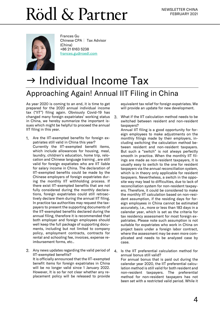

Frances Gu Chinese CPA | Tax Advisor (China) +86 21 6163 5238 [frances.gu@roedl.com](mailto:frances.gu@roedl.com)

## <span id="page-3-0"></span> $\rightarrow$  Individual Income Tax Approaching Again! Annual IIT Filing in China

<span id="page-3-1"></span>As year 2020 is coming to an end, it is time to get prepared for the 2020 annual individual income tax ("IIT") filing again. Obviously Covid-19 has changed many foreign expatriates' working status in China, we hereby summarize the important issues which might be helpful to proceed the annual IIT filing in this year.

- 1. Are the IIT-exempted benefits for foreign expatriates still valid in China this year? Currently the IIT-exempted benefit items, which include allowances for housing, meal, laundry, children's education, home trip, relocation and Chinese language training , are still valid for foreign expatiates who are IIT liable for salary income in China. The declaration of IIT-exempted benefits could be made by the Chinese employers of foreign expatriates during the monthly IIT withholding process. If there exist IIT-exempted benefits that are not fully considered during the monthly declarations, foreign expatriates could still retroactively declare them during the annual IIT filing. In practice tax authorities may request the taxpayers to present the supporting documents of the IIT-exempted benefits declared during the annual filing, therefore it is recommended that both employer and foreign employees should well keep the full package of supporting documents, including but not limited to company policy, employment contracts, contracts for rental and schooling fee, invoices, expense reimbursement forms, etc..
- Any news updates regarding the valid period of IIT-exempted benefits? It is officially announced that the IIT-exempted benefit items for foreign expatriates in China will be no longer valid since 1 January 2022. However, It is so far not clear whether any replacement policy will be released to provide

equivalent tax relief for foreign expatriates. We will provide an update for new development.

What if the IIT calculation method needs to be  $3<sub>1</sub>$ switched between resident and non-resident taxpayers?

Annual IIT filing is a good opportunity for foreign employees to make adjustments on the monthly filings made by their employers, including switching the calculation method between resident and non-resident taxpayers. But such a "switch" is not always perfectly smooth in practice. When the monthly IIT filings are made as non-resident taxpayers, it is usually easy to switch to the one for resident taxpayers via the annual reconciliation system, which is in theory only applicable for resident taxpayers. Nevertheless, a switch in the opposite way may lead to difficulties, due to lack of reconciliation system for non-resident taxpayers. Therefore, it could be considered to make the monthly IIT calculation based on non-resident assumption, if the residing days for foreign employees in China cannot be estimated accurately, i.e., more or less than 183 days in a calendar year, which is set as the criteria for tax residency assessment for most foreign expatriates. Please note such assumption is not suitable for expatriates who work in China on project basis under a foreign labor contract, where the assessment may be even more complicated and needs to be analyzed case by case.

Is the IIT preferential calculation method for annual bonus still valid? For annual bonus that is paid out during the calendar year 2020, the IIT preferential calculation method is still valid for both resident and non-resident taxpayers. The preferential method for non-resident taxpayers has not been set with a restricted valid period. While it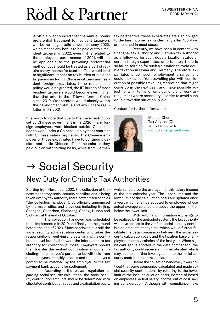is officially announced that the annual bonus preferential treatment for resident taxpayers will be no longer valid since 1 January 2022, which means any bonus to be paid out to a resident taxpayer in 2022, even if it is related to the employee's performance of 2021, will not be applicable to the prevailing preferential method, but should be treated as a part of regular salary income for taxation. This would lead to significant impact on tax burden of resident taxpayers including Chinese citizens and resident foreign expatriates. If no replacement policy would be granted, the IIT burden of most resident taxpayers would become even higher than that prior to the IIT law reform in China since 2019. We therefore would closely watch the development status and any update regulation in FY 2021.

It is worth to note that due to the travel restriction set by Chinese government in FY 2020, many foreign employees were blocked outside China but had to work under a Chinese employment contract with Chinese salary payments. The Chinese employer of those expatriates have to continuing declare and settle Chinese IIT for the salaries they paid out on withholding basis, while from German

tax perspective, those expatriates are also obliged to declare income tax in Germany after 183 days are reached in most cases.

Recently, we have been in contact with Shanghai tax authority and German tax authority as a follow up for such double taxation status of certain foreign expatriates, unfortunately there is so far no solution for such a situation to avoid double taxation in China and Germany. Therefore, expatriates under such employment arrangement could make an upfront travelling plan with consideration of possible travelling restriction that might come up in the next year, and make possible adjustments in terms of employment and work arrangement where necessary, in order to avoid such double taxation situation in 2021.

#### Contact for further information



Monica Chen Tax Advisor (China) +86 21 6163 5297 [monica.chen@roedl.com](mailto:monica.chen@roedl.com)

## <span id="page-4-0"></span> $\rightarrow$  Social Security

### <span id="page-4-1"></span>New Duty for China's Tax Authorities

Starting from November 2020, the collection of Chinese mandatory social security contributions is being taken over by tax authority (hereinafter referred to as "the collection handover"), as officially announced by the major cities and provinces including Beijing, Shanghai, Shenzhen, Shandong, Shanxi, Hunan and Sichuan, at the end of October.

The collection handover was scheduled to be implemented in 2019 and finally hit the ground before the end of 2020. Since handover, it is still the social security administration center who takes the responsibility of verifying and determining the contribution level but shall forward the information to tax authority for collection purpose. Employers should then transfer the verified contribution amounts, including the employee's portion to be withheld from the employees' monthly salaries and the employer's portion to be matched by the employer, to the tax payment bank account for settlement.

According to the relevant regulation regarding social security calculation, the social security contribution amounts should be determined with stipulated contribution ratios and a calculation basis, which should be the average monthly salary income of the last calendar year. The upper limit and the lower limit of the calculation basis are updated once a year, which shall be adopted to employees whose actual average salaries are above the upper limit or below the lower limit.

With automatic information exchange to be realized by the upgraded system, the tax authority will have access to the verified social security contribution amounts at any time, which would further facilitate the data comparison between the social security calculation basis and the taxation base of employees' monthly salaries of the last year. When significant gap is spotted in the data comparison, the tax authority could receive an immediate alert which may lead to a further investigation into the social security contribution or tax declaration.

Before the collection handover, it was noticed that some companies calculated and made social security contributions by referring to the lower limit of the local calculation basis, instead of based on employees' actual salary income, out of cost saving consideration. Although with compliance flaw,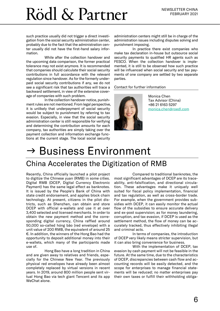such practice usually did not trigger a direct investigation from the social security administration center, probably due to the fact that the administration center usually did not have the first-hand salary information.

While after the collection handover and the upcoming data comparison, the former practical tolerance may not exist anymore. It is recommended that companies should calculate their social security contributions in full accordance with the relevant regulation since handover. As for the formerly underpaid social security contributions if any, we do not see a significant risk that tax authorities will trace a backward settlement, in view of the extensive coverage of companies with such problem.

In the collection handover notice, punishment rules are not mentioned. From legal perspective, it is unlikely that underpayment of social security would be subject to punishment by referring to tax evasion. Especially, in view that the social security administration center is still responsible for verifying and determining the contribution amounts for each company, tax authorities are simply taking over the payment collection and information exchange functions at the current stage. The local social security

administration centers might still be in charge of the administration issues including disputes solving and punishment imposing.

In practice there exist companies who make tax declaration in-house but outsource social security payments to qualified HR agents such as FESCO. When the collection handover is implemented, it is still to be observed how such practice will be influenced when social security and tax payments of one company are settled by two separate parties.

#### Contact for further information



Monica Chen Tax Advisor (China) +86 21 6163 5297 [monica.chen@roedl.com](mailto:monica.chen@roedl.com)

## <span id="page-5-0"></span> $\rightarrow$  Business Environment

### <span id="page-5-1"></span>China Accelerates the Digitization of RMB

Recently, China officially launched a pilot project to digitize the Chinese yuan (RMB) in some cities. Digital RMB (DCEP, Digital Currency Electronic Payment) has the same legal effect as banknotes. It is issued by the People's Bank of China with state credit endorsement, and applies block chain technology. At present, citizens in the pilot districts, such as Shenzhen, can obtain and store DCEP with official e-wallets and use it at over 3,400 selected and licensed merchants. In order to obtain the new payment method and the corresponding digital currency, China raffled around 50,000 so-called hóng bāo (red envelope) with a unit value of 200 RMB, the equivalent of around 25 €. In addition, the winners of the Hong Bao had the opportunity to deposit additional money into their e-wallets, which many of the participants made use of.

Hong Bao have a long tradition in China and are given away to relatives and friends, especially for the Chinese New Year. The previously physical red envelopes have already been almost completely replaced by virtual versions in recent years. In 2019, around 800 million people sent virtual Hong Bao via tech giant Tencent and its app WeChat alone.

Compared to traditional banknotes, the most significant advantages of DCEP are its traceability, anti-falsification, and directional circulation. These advantages make it uniquely well suited for fiscal policy implementation, financial and tax regulation, as well as cross-border trade. For example, when the government provides subsidies with DCEP, it can easily monitor the actual flow of the subsidies to ensure accurate delivery and ex-post supervision; as for money laundering, corruption, and tax evasion, if DCEP is used as the settlement method, the flow of money can be accurately tracked, thus effectively inhibiting illegal and criminal acts.

In terms of companies, the introduction of DCEP very likely means stricter supervision, but it can also bring convenience for business.

With the implementation of DCEP, tax evasion by cash payment will not be feasible in the future. At the same time, due to the characteristics of DCEP, discrepancies between cash flow and accounting records will be easily detected, and the scope for enterprises to manage financial statements will be reduced; no matter enterprises pay their own taxes or fulfill their withholding obliga-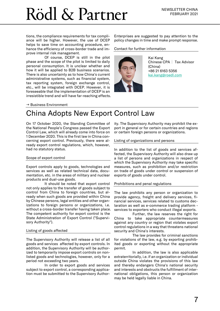tions, the compliance requirements for tax compliance will be higher. However, the use of DCEP helps to save time on accounting procedure, enhance the efficiency of cross-border trade and improve internal risk management.

Of course, DCEP is still in the pilot phase and the scope of the pilot is limited to daily personal consumption. It is unclear whether and how it will be applied to B2B business scenarios. There is also uncertainty as to how China's current administrative systems, such as financial system, tax reporting system, foreign exchange control, etc., will be integrated with DCEP. However, it is foreseeable that the implementation of DCEP is an irresistible trend and will have far-reaching effects.

Enterprises are suggested to pay attention to the policy changes in time and make prompt response.

Contact for further information



Kai Kang Chinese CPA | Tax Advisor (China) +86 21 6163 5356 [kai.kang@roedl.com](mailto:kai.kang@roedl.com)

#### $\rightarrow$  Business Environment

### <span id="page-6-0"></span>China Adopts New Export Control Law

On 17 October 2020, the Standing Committee of the National People's Congress passed the Export Control Law, which will already come into force on 1 December 2020. This is the first law in China concerning export control. Previously, there were already export control regulations, which, however, had no statutory status.

#### Scope of export control

Export controls apply to goods, technologies and services as well as related technical data, documentation, etc. in the areas of military and nuclear products and dual-use goods.

It should be noted that export control not only applies to the transfer of goods subject to control from China to foreign countries, but already when such goods are provided within China by Chinese persons, legal entities and other organizations to foreign persons or organizations, i.e. without a cross-border transfer having taken place. The competent authority for export control is the State Administration of Export Control ("Supervisory Authority").

#### Listing of goods affected

The Supervisory Authority will release a list of all goods and services affected by export controls. In addition, the Supervisory Authority will be authorized to temporarily impose export controls on nonlisted goods and technologies, however, only for a period not exceeding two years.

In order to export goods and services subject to export control, a corresponding application must be submitted to the Supervisory Authority. The Supervisory Authority may prohibit the export in general or for certain countries and regions or certain foreign persons or organizations.

#### Listing of organizations and persons

In addition to the list of goods and services affected, the Supervisory Authority will also draw up a list of persons and organizations in respect of which the Supervisory Authority may take specific measures, such as prohibition and/or restriction on trade of goods under control or suspension of exports of goods under control.

#### Prohibitions and penal regulations

The law prohibits any person or organization to provide agency, freight and delivery services, financial services, services related to customs declaration as well as e-commerce trading platform services to exporters who conduct illegal exports.

Further, the law reserves the right for China to take appropriate countermeasures against any country or region that violates export control regulations in a way that threatens national security and China's interests.

The law provides for criminal sanctions for violations of the law, e.g. by exporting prohibited goods or exporting without the appropriate permit.

In addition, the law is also applicable extraterritorially, i.e. if an organization or individual outside China violates the provisions of this law and thereby endangers China's national security and interests and obstructs the fulfillment of international obligations, this person or organization may be held legally liable in China.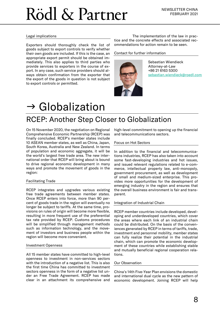#### Legal implications

Exporters should thoroughly check the list of goods subject to export controls to verify whether their own goods are included. If this is the case, an appropriate export permit should be obtained immediately. This also applies to third parties who provide services to exporters in the course of export. In any case, such service providers should always obtain confirmation from the exporter that the export of the goods in question is not subject to export controls or permitted.

The implementation of the law in practice and the concrete effects and associated recommendations for action remain to be seen.

#### Contact for further information



Sebastian Wiendieck Attorney-at-Law +86 21 6163 5300 [sebastian.wiendieck@roedl.com](mailto:sebastian.wiendieck@roedl.com)

## <span id="page-7-0"></span> $\rightarrow$  Globalization

### <span id="page-7-1"></span>RCEP: Another Step Closer to Globalization

On 15 November 2020, the negotiation on Regional Comprehensive Economic Partnership (RCEP) was finally concluded. RCEP's member states include 10 ASEAN member states, as well as China, Japan, South Korea, Australia and New Zealand. In terms of population and economic aggregate, it will be the world's largest free trade area. The new international order that RCEP will bring about is bound to drive regional economic development in many ways and promote the movement of goods in the region:

#### Facilitating Trade

RCEP integrates and upgrades various existing free trade agreements between member states. Once RCEP enters into force, more than 90 percent of goods trade in the region will eventually no longer be subject to tariffs. At the same time, provisions on rules of origin will become more flexible, resulting in more frequent use of the preferential tax rate provided by RCEP. Customs procedures will be simplified through management methods such as information technology, and the movement of investors and business people within the region will become more convenient.

#### Investment Openness

All 15 member states have committed to high-level openness to investment in non-services sectors with the introduction of a negative list. This is also the first time China has committed to investment sectors openness in the form of a negative list under an Free Trade Agreement. RCEP has made clear in an attachment its comprehensive and

high-level commitment to opening up the financial and telecommunications sectors.

#### Focus on Hot Sectors

In addition to the financial and telecommunications industries, RCEP has also taken into account some fast-developing industries and hot issues, and issued relevant regulations related to e-commerce, intellectual property law, anti-monopoly, government procurement, as well as development of small and medium-sized enterprise. This provides more opportunities for the development of emerging industry in the region and ensures that the overall business environment is fair and transparent.

#### Integration of Industrial Chain

RCEP member countries include developed, developing and underdeveloped countries, which cover the areas where each link of an industrial chain could be distributed. On the basis of the conveniences generated by RCEP in terms of tariffs, trade, investment and personnel mobility, member states can fully realize their potential in the industrial chain, which can promote the economic development of these countries while establishing stable and mutually beneficial regional cooperation relations.

#### Our Observation

China's 14th Five-Year Plan envisions the domestic and international dual cycle as the new pattern of economic development. Joining RCEP will help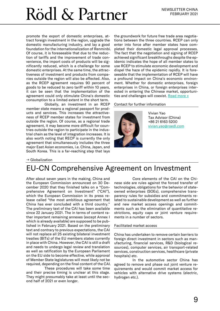promote the export of domestic enterprises, attract foreign investment in the region, upgrade the domestic manufacturing industry, and lay a good foundation for the internationalization of Renminbi. Of course, it is foreseeable that due to the reduction of tariffs and the improvement of trade convenience, the import costs of products will be significantly reduced, which is a challenge for some domestic enterprises. At the same time, the attractiveness of investment and products from companies outside the region will also be affected. Also, as the RCEP agreement requires 90 percent of goods to be reduced to zero tariff within 10 years, it can be seen that the implementation of the agreement could only stimulate China's domestic consumption to a limited extent in the short term.

Globally, an investment in an RCEP member state means a regional passport for products and services. This increases the attractiveness of RCEP member states for investment from outside the region. Of course, as a regional trade agreement, it may become more difficult for countries outside the region to participate in the industrial chain as the level of integration increases. It is also worth noting that RECP is currently the only agreement that simultaneously includes the three major East Asian economies, i.e. China, Japan, and South Korea. This is a far-reaching step that lays

the groundwork for future free trade area negotiations between the three countries. RCEP can only enter into force after member states have completed their domestic legal approval processes. The fact that the negotiation and signing of RCEP achieved significant breakthroughs despite the epidemic indicates the hope of all member states to use RCEP to stimulate economic development and dispel the haze of the epidemic rapidly. It is foreseeable that the implementation of RCEP will have a profound impact on China's economic environment. Whether for domestic enterprises, foreign enterprises in China, or foreign enterprises interested in entering the Chinese market, opportunities and challenges will coexist. [Read more](https://www.roedl.com/insights/fta-asia-pacific-china-asean-rcep-regional-comprehensive-economic-partnership-europe) »

#### Contact for further information



Vivian Yao Tax Advisor (China) +86 21 6163 5200 [vivian.yao@roedl.com](mailto:vivian.yao@roedl.com)

#### $\rightarrow$  Globalization

### <span id="page-8-0"></span>EU-CN Comprehensive Agreement on Investment

After about seven years in the making, China and the European Commission announced on 30 December 2020 that they finished talks on a "Comprehensive Agreement on Investment" ("CAI"), which the European Commission in its press release called "the most ambitious agreement that China has ever concluded with a third country." The preliminary text of the CAI has been available since 22 January 2021. The in terms of content rather important remaining annexes (except Annex I which is already available) are supposed to be published in February 2021. Based on the preliminary text and contrary to previous expectations, the CAI will not replace all 25 existing bilateral investment treaties (BITs) of the EU members states currently in place with China. However, the CAI is still a draft and needs to undergo legal review and translation as well as ratification by the European Parliament on the EU side to become effective, while approval of Member State legislatures will most likely not be required, depending on the final content of the CAI.

These procedures will take some time and their precise timing is unclear at this stage. They might presumably take at least until the second half of 2021 or even longer.

Core elements of the CAI on the Chinese side are rules against the forced transfer of technologies, obligations for the behavior of stateowned enterprises (SOEs), comprehensive transparency rules for subsidies and commitments related to sustainable development as well as further and new market access openings and commitments such as the elimination of quantitative restrictions, equity caps or joint venture requirements in a number of sectors.

#### Facilitated market access

China has undertaken to remove certain barriers to foreign direct investment in sectors such as manufacturing, financial services, R&D (biological resources), computer services, air transport-related services, construction services, healthcare (private hospitals) etc.

In the automotive sector China has agreed to remove and phase out joint venture requirements and would commit market access for vehicles with alternative drive systems (electric, hydrogen etc.).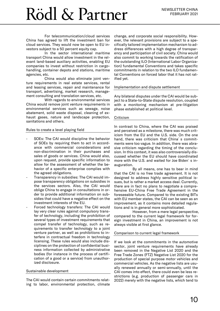For telecommunication/cloud services China has agreed to lift the investment ban for cloud services. They would now be open to EU investors subject to a 50 percent equity cap.

In the sector international maritime transport China would allow investment in the relevant land-based auxiliary activities, enabling EU companies to invest without restriction in cargohandling, container depots and stations, maritime agencies, etc.

China would also eliminate joint venture requirements in real estate services, rental and leasing services, repair and maintenance for transport, advertising, market research, management consulting and translation services, etc.

With regards to environmental services China would remove joint venture requirements in environmental services such as sewage, noise abatement, solid waste disposal, cleaning of exhaust gases, nature and landscape protection, sanitations and others.

#### Rules to create a level playing field

- SOEs: The CAI would discipline the behavior of SOEs by requiring them to act in accordance with commercial considerations and non-discrimination in their purchases and sales of goods or services. China would also, upon request, provide specific information to allow for the assessment of whether the behavior of a specific enterprise complies with the agreed obligations.
- Transparency in subsidies: The CAI would impose transparency obligations on subsidies in the services sectors. Also, the CAI would oblige China to engage in consultations in order to provide additional information on subsidies that could have a negative effect on the investment interests of the EU.
- Forced technology transfers: The CAI would lay very clear rules against compulsory transfer of technology, including the prohibition of several types of investment requirements that compel transfer of technology, such as requirements to transfer technology to a joint venture partner, as well as prohibitions to interfere in contractual freedom in technology licensing. These rules would also include disciplines on the protection of confidential business information collected by administrative bodies (for instance in the process of certification of a good or a service) from unauthorized disclosure.

#### Sustainable development

The CAI would contain certain commitments relating to labor, environmental protection, climate

change, and corporate social responsibility. However, the relevant provisions are subject to a specifically tailored implementation mechanism to address differences with a high degree of transparency and participation of civil society. China would also commit to working towards the ratification of the outstanding ILO (International Labor Organization) fundamental Conventions and takes specific commitments in relation to the two ILO fundamental Conventions on forced labor that it has not ratified yet.

#### Implementation and dispute settlement

Any bilateral disputes under the CAI would be subject to a State-to-State dispute resolution, coupled with a monitoring mechanism at pre-litigation phase established at political level.

#### Criticism

In contrast to China, where the CAI was praised and perceived as a milestone, there was much criticism from the EU and the U.S. side. On the one hand, there was criticism that China's commitments were too vague. In addition, there was abrasive criticism regarding the timing of the conclusion. In this context, it was also controversially discussed whether the EU should have coordinated more with the U.S. and waited for Joe Biden´s inauguration.

By all means, one has to bear in mind that the CAI is no free trade agreement. It is not designed to address highly sensitive political issues, but is rather a market access deal. Currently, there are in fact no plans to negotiate a comprehensive EU-China Free Trade Agreement in the foreseeable future. Compared to the existing BITs with EU member states, the CAI can be seen as an improvement, as it contains more detailed regulations and is in general more sophisticated.

However, from a mere legal perspective, compared to the current legal framework for foreign investment in China, an improvement is not always visible at first glance.

#### Comparison to current legal framework

If we look at the commitments in the automotive sector, joint venture requirements have already been removed in the Negative List 2020 and the Free Trade Zones (FTZ) Negative List 2020 for the production of special purpose motor vehicles and commercial vehicles. As the negative lists are usually renewed annually or semi-annually, until the CAI comes into effect, there could even be less restrictions (e.g. production of passenger cars in 2022) merely with the negative lists, which tend to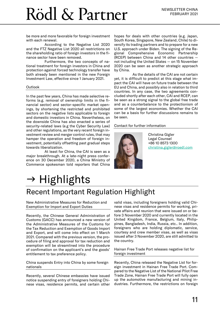be more and more favorable for foreign investment with each renewal.

According to the Negative List 2020 and the FTZ Negative List 2020 all restrictions on the shareholding ratio of foreign investors in the finance sector have been removed.

Furthermore, the two concepts of national treatment for foreign investors in China and protection against forced technology transfer have both already been mentioned in the new Foreign Investment Law, effective since 1 January 2021.

#### **Outlook**

In the past few years, China has made selective reforms (e.g. removal of ownership limits in the financial sector) and sector-specific market openings, by shortening the restricted and prohibited sectors on the negative lists applicable to foreign and domestic investors in China. Nevertheless, on the downside China has also enacted a series of security-related laws (e.g the Cyber Security Law) and other regulations, as the very recent foreign investment review and merger control rules, that may hamper the operation and freedom of foreign investment, potentially offsetting past gradual steps towards liberalization.

At least for China, the CAI is seen as a major breakthrough. At a late-night press conference on 30 December 2020, a China Ministry of Commerce spokesman told reporters that China

hopes for deals with other countries (e.g. Japan, South Korea, Singapore, New Zealand, Chile) to diversify its trading partners and to prepare for a new U.S. approach under Biden. The signing of the Regional Comprehensive Economic Partnership (RCEP) between China and 14 other countries not including the United States — on 15 November 2020 can be seen as another strategic approach by China.

As the details of the CAI are not certain yet, it is difficult to predict at this stage what impact the CAI will have on future trade between the EU and China, and possibly also in relation to third countries. In any case, the two agreements concluded shortly after each other, CAI and RCEP, can be seen as a strong signal to the global free trade and as a counterbalance to the protectionism of some of the largest economies. Whether the CAI can be a basis for further discussions remains to be seen.

#### Contact for further information



Christina Gigler Legal Counsel +86 10 8573 1300 [christina.gigler@roedl.com](mailto:christina.gigler@roedl.com)

## <span id="page-10-0"></span> $\rightarrow$  Highlights

### <span id="page-10-1"></span>Recent Important Regulation Highlight

New Administrative Measures for Reduction and Exemption for Import and Export Duties

Recently, the Chinese General Administration of Customs (GACC) has announced a new version of the Administrative Measures of the Customs for the Tax Reduction and Exemption of Goods Import and Export, and will come into effect on 1 March 2021. Compared with the previous version, the procedure of filing and approval for tax reduction and exemption will be streamlined into the procedure of confirmation on the applicant's and the goods' entitlement to tax preference policy.

China suspends Entry into China by some foreign nationals

Recently, several Chinese embassies have issued notice suspending entry of foreigners holding Chinese visas, residence permits, and certain other valid visas, including foreigners holding valid Chinese visas and residence permits for working, private affairs and reunion that were issued on or before 3 November 2020 and currently located in the United Kingdom, France, Belgium, Italy, Philippines, Bangladesh, India, Russia, etc.. In addition, foreigners who are holding diplomatic, service, courtesy and crew member visas, as well as visas issued after 3 November 2020, are still admitted to the country.

Hainan Free Trade Port releases negative list for foreign investment

Recently, China released the Negative List for foreign investment in Hainan Free Trade Port. Compared to the Negative List of the National Pilot Free Trade Zone, Hainan Free Trade Port will fully open up the automotive manufacturing and mining industries. Furthermore, the restrictions on foreign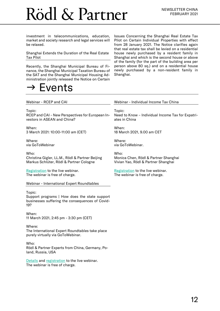investment in telecommunications, education, market and society research and legal services will be relaxed.

Shanghai Extends the Duration of the Real Estate Tax Pilot

Recently, the Shanghai Municipal Bureau of Finance, the Shanghai Municipal Taxation Bureau of the SAT and the Shanghai Municipal Housing Administration jointly released the Notice on Certain

## <span id="page-11-0"></span>Events

Issues Concerning the Shanghai Real Estate Tax Pilot on Certain Individual Properties with effect from 28 January 2021. The Notice clarifies again that real estate tax shall be levied on a residential house newly purchased by a resident family in Shanghai and which is the second house or above of the family (for the part of the building area per person above 80 sq.) and on a residential house newly purchased by a non-resident family in Shanghai.

#### Webinar - RCEP and CAI

Topic:

RCEP and CAI – New Perspectives for European Investors in ASEAN and China?

When: 3 March 2021: 10:00-11:00 am (CET)

Where: via GoToWebinar

Who: Christina Gigler, LL.M., Rödl & Partner Beijing Markus Schlüter, Rödl & Partner Cologne

[Registration](https://attendee.gotowebinar.com/register/2471989524888184336) to the live webinar. The webinar is free of charge.

Webinar - International Expert Roundtables

#### Topic:

Support programs | How does the state support businesses suffering the consequences of Covid-19?

When: 11 March 2021, 2:45 pm - 3:30 pm (CET)

Where: The International Expert Roundtables take place purely virtually via GoToWebinar.

Who: Rödl & Partner Experts from China, Germany, Poland, Russia, USA

[Details](https://www.roedl.com/expert-roundtable/) and [registration](https://register.gotowebinar.com/register/4535336343582574095) to the live webinar. The webinar is free of charge.

#### Webinar - Individual Income Tax China

Topic: Need to Know – Individual Income Tax for Expatriates in China

When: 18 March 2021, 9.00 am CET

Where: via GoToWebinar.

Who: Monica Chen, Rödl & Partner Shanghai Vivian Yao, Rödl & Partner Shanghai

[Registration](https://attendee.gotowebinar.com/register/1095149178728984075) to the live webinar. The webinar is free of charge.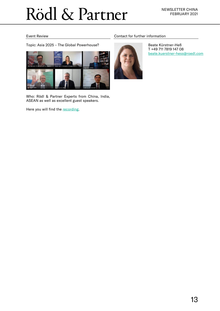#### Event Review

Topic: Asia 2025 – The Global Powerhouse?



Who: Rödl & Partner Experts from China, India, ASEAN as well as excellent guest speakers.

Here you will find the [recording.](https://attendee.gotowebinar.com/recording/5734843056673302274)

#### Contact for further information



Beate Kürstner-Heß T +49 711 7819 147 08 beate.kuerstner-hess@roedl.com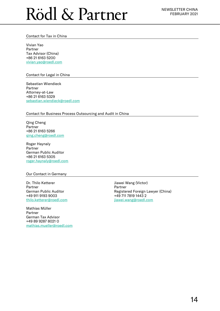#### Contact for Tax in China

Vivian Yao Partner Tax Advisor (China) +86 21 6163 5200 [vivian.yao@roedl.com](mailto:vivian.yao@roedl.com)

#### Contact for Legal in China

Sebastian Wiendieck Partner Attorney-at-Law +86 21 6163 5329 sebastian.wiendieck@roedl.com

#### Contact for Business Process Outsourcing and Audit in China

Qing Cheng Partner +86 21 6163 5266 [qing.cheng@roedl.com](mailto:qing.cheng@roedl.com)

Roger Haynaly Partner German Public Auditor +86 21 6163 5305 roger.haynaly@roedl.com

#### Our Contact in Germany

Dr. Thilo Ketterer Partner German Public Auditor +49 911 9193 9003 [thilo.ketterer@roedl.com](mailto:thilo.ketterer@roedl.com)

Mathias Müller Partner German Tax Advisor +49 89 9287 8021 0 mathias.mueller@roedl.com Jiawei Wang (Victor) Partner Registered Foreign Lawyer (China) +49 711 7819 1443 2 jiawei.wang@roedl.com